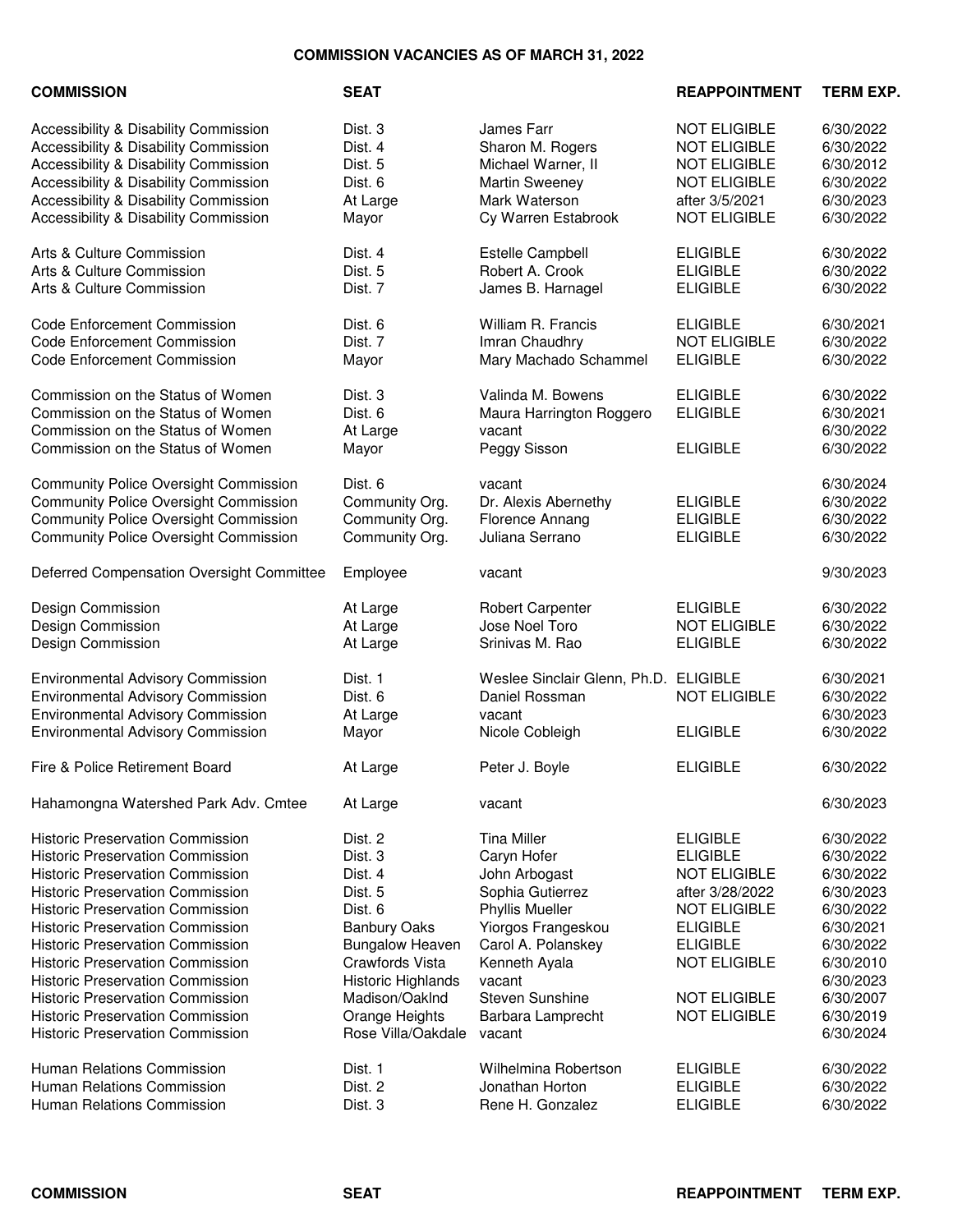## **COMMISSION VACANCIES AS OF MARCH 31, 2022**

| <b>COMMISSION</b>                                                                                                       | <b>SEAT</b>                      |                                                      | <b>REAPPOINTMENT</b>                                              | <b>TERM EXP.</b>                    |
|-------------------------------------------------------------------------------------------------------------------------|----------------------------------|------------------------------------------------------|-------------------------------------------------------------------|-------------------------------------|
| Accessibility & Disability Commission<br>Accessibility & Disability Commission<br>Accessibility & Disability Commission | Dist. 3<br>Dist. 4<br>Dist. 5    | James Farr<br>Sharon M. Rogers<br>Michael Warner, II | <b>NOT ELIGIBLE</b><br><b>NOT ELIGIBLE</b><br><b>NOT ELIGIBLE</b> | 6/30/2022<br>6/30/2022<br>6/30/2012 |
| Accessibility & Disability Commission                                                                                   | Dist. 6                          | <b>Martin Sweeney</b>                                | <b>NOT ELIGIBLE</b>                                               | 6/30/2022                           |
| Accessibility & Disability Commission                                                                                   | At Large                         | Mark Waterson                                        | after 3/5/2021                                                    | 6/30/2023                           |
| Accessibility & Disability Commission                                                                                   | Mayor                            | Cy Warren Estabrook                                  | <b>NOT ELIGIBLE</b>                                               | 6/30/2022                           |
| Arts & Culture Commission                                                                                               | Dist. 4                          | Estelle Campbell                                     | <b>ELIGIBLE</b>                                                   | 6/30/2022                           |
| Arts & Culture Commission                                                                                               | Dist. 5                          | Robert A. Crook                                      | <b>ELIGIBLE</b>                                                   | 6/30/2022                           |
| Arts & Culture Commission                                                                                               | Dist. 7                          | James B. Harnagel                                    | <b>ELIGIBLE</b>                                                   | 6/30/2022                           |
| <b>Code Enforcement Commission</b>                                                                                      | Dist. 6                          | William R. Francis                                   | <b>ELIGIBLE</b>                                                   | 6/30/2021                           |
| <b>Code Enforcement Commission</b>                                                                                      | Dist. 7                          | Imran Chaudhry                                       | <b>NOT ELIGIBLE</b>                                               | 6/30/2022                           |
| <b>Code Enforcement Commission</b>                                                                                      | Mayor                            | Mary Machado Schammel                                | <b>ELIGIBLE</b>                                                   | 6/30/2022                           |
| Commission on the Status of Women                                                                                       | Dist. 3                          | Valinda M. Bowens                                    | <b>ELIGIBLE</b>                                                   | 6/30/2022                           |
| Commission on the Status of Women                                                                                       | Dist. 6                          | Maura Harrington Roggero                             | <b>ELIGIBLE</b>                                                   | 6/30/2021                           |
| Commission on the Status of Women<br>Commission on the Status of Women                                                  | At Large<br>Mayor                | vacant<br>Peggy Sisson                               | <b>ELIGIBLE</b>                                                   | 6/30/2022<br>6/30/2022              |
|                                                                                                                         |                                  |                                                      |                                                                   |                                     |
| <b>Community Police Oversight Commission</b>                                                                            | Dist. 6                          | vacant                                               |                                                                   | 6/30/2024                           |
| <b>Community Police Oversight Commission</b><br><b>Community Police Oversight Commission</b>                            | Community Org.<br>Community Org. | Dr. Alexis Abernethy<br>Florence Annang              | <b>ELIGIBLE</b><br><b>ELIGIBLE</b>                                | 6/30/2022<br>6/30/2022              |
| <b>Community Police Oversight Commission</b>                                                                            | Community Org.                   | Juliana Serrano                                      | <b>ELIGIBLE</b>                                                   | 6/30/2022                           |
| Deferred Compensation Oversight Committee                                                                               | Employee                         | vacant                                               |                                                                   | 9/30/2023                           |
| Design Commission                                                                                                       | At Large                         | <b>Robert Carpenter</b>                              | <b>ELIGIBLE</b>                                                   | 6/30/2022                           |
| Design Commission                                                                                                       | At Large                         | Jose Noel Toro                                       | <b>NOT ELIGIBLE</b>                                               | 6/30/2022                           |
| Design Commission                                                                                                       | At Large                         | Srinivas M. Rao                                      | <b>ELIGIBLE</b>                                                   | 6/30/2022                           |
| <b>Environmental Advisory Commission</b>                                                                                | Dist. 1                          | Weslee Sinclair Glenn, Ph.D. ELIGIBLE                |                                                                   | 6/30/2021                           |
| <b>Environmental Advisory Commission</b>                                                                                | Dist. 6                          | Daniel Rossman                                       | <b>NOT ELIGIBLE</b>                                               | 6/30/2022                           |
| <b>Environmental Advisory Commission</b>                                                                                | At Large                         | vacant                                               |                                                                   | 6/30/2023                           |
| <b>Environmental Advisory Commission</b>                                                                                | Mayor                            | Nicole Cobleigh                                      | <b>ELIGIBLE</b>                                                   | 6/30/2022                           |
| Fire & Police Retirement Board                                                                                          | At Large                         | Peter J. Boyle                                       | <b>ELIGIBLE</b>                                                   | 6/30/2022                           |
| Hahamongna Watershed Park Adv. Cmtee                                                                                    | At Large                         | vacant                                               |                                                                   | 6/30/2023                           |
| <b>Historic Preservation Commission</b>                                                                                 | Dist. 2                          | <b>Tina Miller</b>                                   | <b>ELIGIBLE</b>                                                   | 6/30/2022                           |
| <b>Historic Preservation Commission</b>                                                                                 | Dist. 3                          | Caryn Hofer                                          | <b>ELIGIBLE</b>                                                   | 6/30/2022                           |
| <b>Historic Preservation Commission</b>                                                                                 | Dist. 4                          | John Arbogast                                        | <b>NOT ELIGIBLE</b>                                               | 6/30/2022                           |
| <b>Historic Preservation Commission</b>                                                                                 | Dist. 5                          | Sophia Gutierrez                                     | after 3/28/2022                                                   | 6/30/2023                           |
| <b>Historic Preservation Commission</b>                                                                                 | Dist. 6                          | <b>Phyllis Mueller</b>                               | <b>NOT ELIGIBLE</b>                                               | 6/30/2022                           |
| <b>Historic Preservation Commission</b>                                                                                 | <b>Banbury Oaks</b>              | Yiorgos Frangeskou                                   | <b>ELIGIBLE</b>                                                   | 6/30/2021                           |
| <b>Historic Preservation Commission</b>                                                                                 | <b>Bungalow Heaven</b>           | Carol A. Polanskey                                   | <b>ELIGIBLE</b>                                                   | 6/30/2022                           |
| <b>Historic Preservation Commission</b>                                                                                 | Crawfords Vista                  | Kenneth Ayala                                        | <b>NOT ELIGIBLE</b>                                               | 6/30/2010                           |
| <b>Historic Preservation Commission</b>                                                                                 | Historic Highlands               | vacant                                               |                                                                   | 6/30/2023                           |
| <b>Historic Preservation Commission</b>                                                                                 | Madison/OakInd                   | <b>Steven Sunshine</b>                               | <b>NOT ELIGIBLE</b>                                               | 6/30/2007                           |
| <b>Historic Preservation Commission</b>                                                                                 | Orange Heights                   | Barbara Lamprecht                                    | <b>NOT ELIGIBLE</b>                                               | 6/30/2019                           |
| <b>Historic Preservation Commission</b>                                                                                 | Rose Villa/Oakdale               | vacant                                               |                                                                   | 6/30/2024                           |
| <b>Human Relations Commission</b>                                                                                       | Dist. 1                          | Wilhelmina Robertson                                 | <b>ELIGIBLE</b>                                                   | 6/30/2022                           |
| <b>Human Relations Commission</b>                                                                                       | Dist. 2                          | Jonathan Horton                                      | <b>ELIGIBLE</b>                                                   | 6/30/2022                           |
| Human Relations Commission                                                                                              | Dist. 3                          | Rene H. Gonzalez                                     | <b>ELIGIBLE</b>                                                   | 6/30/2022                           |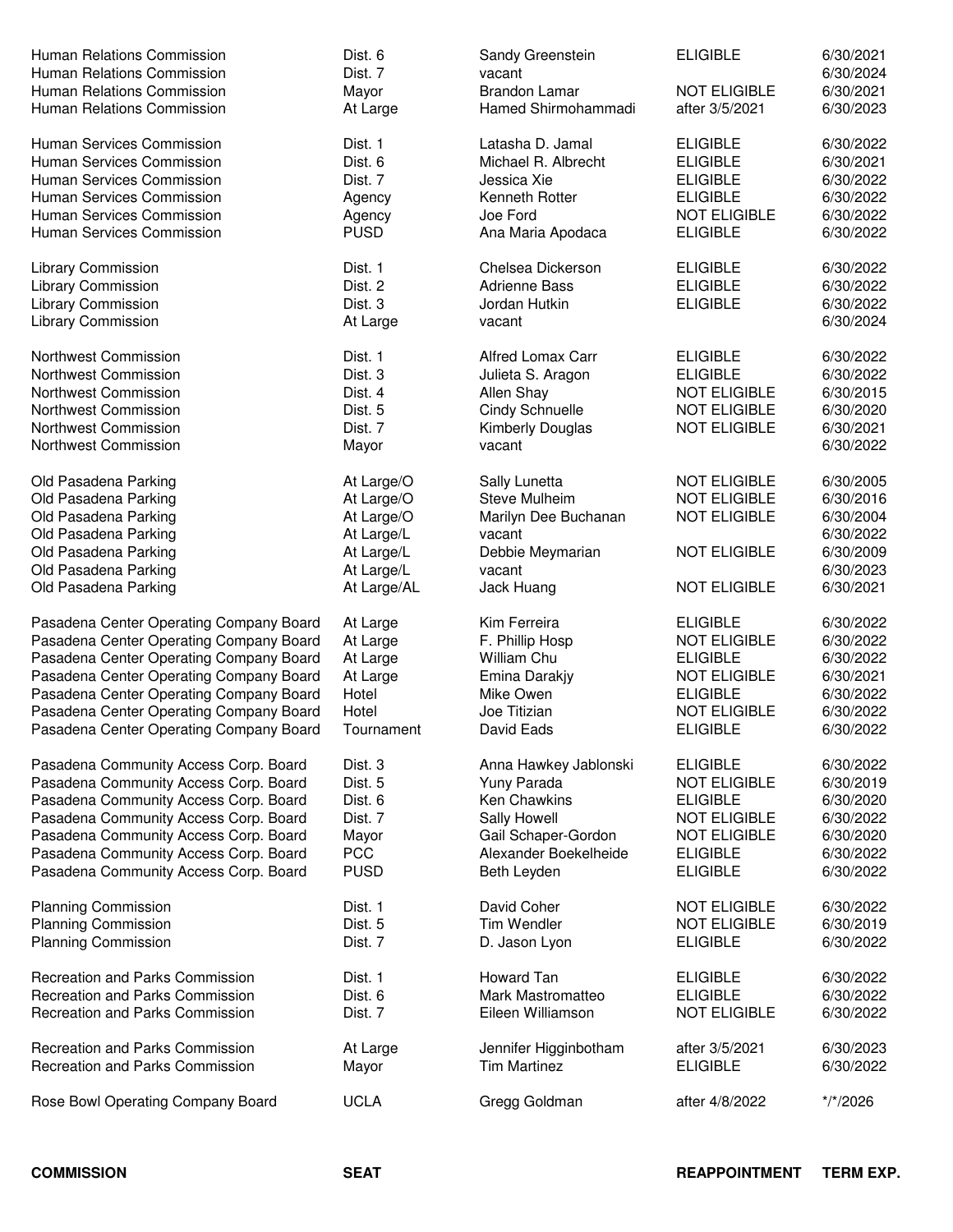| Human Relations Commission<br>Human Relations Commission | Dist. 6<br>Dist. 7 | Sandy Greenstein<br>vacant                   | <b>ELIGIBLE</b>     | 6/30/2021<br>6/30/2024 |
|----------------------------------------------------------|--------------------|----------------------------------------------|---------------------|------------------------|
| Human Relations Commission                               | Mayor              | <b>Brandon Lamar</b>                         | <b>NOT ELIGIBLE</b> | 6/30/2021              |
|                                                          |                    | Hamed Shirmohammadi                          | after 3/5/2021      | 6/30/2023              |
| Human Relations Commission                               | At Large           |                                              |                     |                        |
| Human Services Commission                                | Dist. 1            | Latasha D. Jamal                             | <b>ELIGIBLE</b>     | 6/30/2022              |
| Human Services Commission                                | Dist. 6            | Michael R. Albrecht                          | <b>ELIGIBLE</b>     | 6/30/2021              |
| Human Services Commission                                | Dist. 7            | Jessica Xie                                  | <b>ELIGIBLE</b>     | 6/30/2022              |
| Human Services Commission                                | Agency             | Kenneth Rotter                               | <b>ELIGIBLE</b>     | 6/30/2022              |
| Human Services Commission                                | Agency             | Joe Ford                                     | <b>NOT ELIGIBLE</b> | 6/30/2022              |
| Human Services Commission                                | <b>PUSD</b>        | Ana Maria Apodaca                            | <b>ELIGIBLE</b>     | 6/30/2022              |
|                                                          |                    |                                              |                     |                        |
| Library Commission                                       | Dist. 1            | Chelsea Dickerson                            | <b>ELIGIBLE</b>     | 6/30/2022              |
| Library Commission                                       | Dist. 2            | <b>Adrienne Bass</b>                         | <b>ELIGIBLE</b>     | 6/30/2022              |
| Library Commission                                       | Dist. 3            | Jordan Hutkin                                | <b>ELIGIBLE</b>     | 6/30/2022              |
| Library Commission                                       | At Large           | vacant                                       |                     | 6/30/2024              |
| Northwest Commission                                     | Dist. 1            | <b>Alfred Lomax Carr</b>                     | <b>ELIGIBLE</b>     | 6/30/2022              |
| Northwest Commission                                     | Dist. 3            | Julieta S. Aragon                            | <b>ELIGIBLE</b>     | 6/30/2022              |
| Northwest Commission                                     | Dist. 4            | Allen Shay                                   | <b>NOT ELIGIBLE</b> | 6/30/2015              |
| Northwest Commission                                     |                    |                                              | <b>NOT ELIGIBLE</b> | 6/30/2020              |
|                                                          | Dist. 5            | <b>Cindy Schnuelle</b>                       |                     |                        |
| Northwest Commission                                     | Dist. 7            | <b>Kimberly Douglas</b>                      | <b>NOT ELIGIBLE</b> | 6/30/2021              |
| Northwest Commission                                     | Mayor              | vacant                                       |                     | 6/30/2022              |
| Old Pasadena Parking                                     | At Large/O         | Sally Lunetta                                | <b>NOT ELIGIBLE</b> | 6/30/2005              |
| Old Pasadena Parking                                     | At Large/O         | Steve Mulheim                                | <b>NOT ELIGIBLE</b> | 6/30/2016              |
| Old Pasadena Parking                                     | At Large/O         | Marilyn Dee Buchanan                         | <b>NOT ELIGIBLE</b> | 6/30/2004              |
| Old Pasadena Parking                                     | At Large/L         | vacant                                       |                     | 6/30/2022              |
| Old Pasadena Parking                                     | At Large/L         | Debbie Meymarian                             | <b>NOT ELIGIBLE</b> | 6/30/2009              |
| Old Pasadena Parking                                     | At Large/L         | vacant                                       |                     | 6/30/2023              |
| Old Pasadena Parking                                     | At Large/AL        | Jack Huang                                   | <b>NOT ELIGIBLE</b> | 6/30/2021              |
|                                                          |                    |                                              |                     |                        |
| Pasadena Center Operating Company Board                  | At Large           | Kim Ferreira                                 | <b>ELIGIBLE</b>     | 6/30/2022              |
| Pasadena Center Operating Company Board                  | At Large           | F. Phillip Hosp                              | <b>NOT ELIGIBLE</b> | 6/30/2022              |
| Pasadena Center Operating Company Board                  | At Large           | <b>William Chu</b>                           | <b>ELIGIBLE</b>     | 6/30/2022              |
| Pasadena Center Operating Company Board                  | At Large           | Emina Darakjy                                | <b>NOT ELIGIBLE</b> | 6/30/2021              |
| Pasadena Center Operating Company Board                  | Hotel              | Mike Owen                                    | <b>ELIGIBLE</b>     | 6/30/2022              |
| Pasadena Center Operating Company Board                  | Hotel              | Joe Titizian                                 | <b>NOT ELIGIBLE</b> | 6/30/2022              |
| Pasadena Center Operating Company Board                  | Tournament         | David Eads                                   | <b>ELIGIBLE</b>     | 6/30/2022              |
|                                                          |                    |                                              |                     |                        |
| Pasadena Community Access Corp. Board                    | Dist. 3            | Anna Hawkey Jablonski                        | <b>ELIGIBLE</b>     | 6/30/2022              |
| Pasadena Community Access Corp. Board                    | Dist. 5            | Yuny Parada                                  | <b>NOT ELIGIBLE</b> | 6/30/2019              |
| Pasadena Community Access Corp. Board                    | Dist. 6            | <b>Ken Chawkins</b>                          | <b>ELIGIBLE</b>     | 6/30/2020              |
| Pasadena Community Access Corp. Board                    | Dist. 7            | Sally Howell                                 | <b>NOT ELIGIBLE</b> | 6/30/2022              |
| Pasadena Community Access Corp. Board                    | Mayor              | Gail Schaper-Gordon                          | <b>NOT ELIGIBLE</b> | 6/30/2020              |
| Pasadena Community Access Corp. Board                    | <b>PCC</b>         | Alexander Boekelheide                        | <b>ELIGIBLE</b>     | 6/30/2022              |
| Pasadena Community Access Corp. Board                    | <b>PUSD</b>        | Beth Leyden                                  | <b>ELIGIBLE</b>     | 6/30/2022              |
| <b>Planning Commission</b>                               | Dist. 1            | David Coher                                  | <b>NOT ELIGIBLE</b> | 6/30/2022              |
| <b>Planning Commission</b>                               | Dist. 5            | Tim Wendler                                  | <b>NOT ELIGIBLE</b> | 6/30/2019              |
| <b>Planning Commission</b>                               | Dist. 7            | D. Jason Lyon                                | <b>ELIGIBLE</b>     | 6/30/2022              |
|                                                          |                    |                                              |                     |                        |
| <b>Recreation and Parks Commission</b>                   | Dist. 1            | Howard Tan                                   | <b>ELIGIBLE</b>     | 6/30/2022              |
| Recreation and Parks Commission                          | Dist. 6            | Mark Mastromatteo                            | <b>ELIGIBLE</b>     | 6/30/2022              |
| <b>Recreation and Parks Commission</b>                   | Dist. 7            | Eileen Williamson                            | <b>NOT ELIGIBLE</b> | 6/30/2022              |
| Recreation and Parks Commission                          |                    |                                              | after 3/5/2021      | 6/30/2023              |
| Recreation and Parks Commission                          | At Large           | Jennifer Higginbotham<br><b>Tim Martinez</b> | <b>ELIGIBLE</b>     |                        |
|                                                          | Mayor              |                                              |                     | 6/30/2022              |
| Rose Bowl Operating Company Board                        | <b>UCLA</b>        | Gregg Goldman                                | after 4/8/2022      | */*/2026               |
|                                                          |                    |                                              |                     |                        |